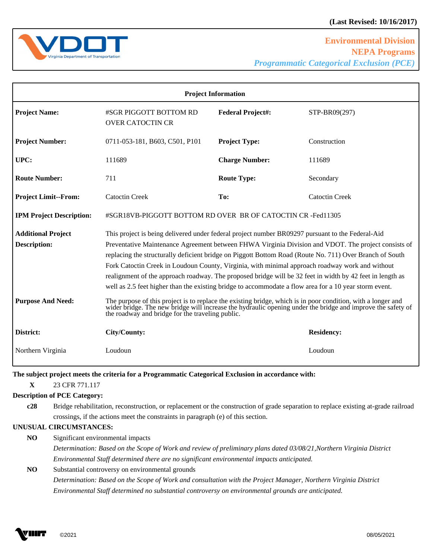

L

| <b>Project Information</b>                                                   |                                                                                                                                                                                                                                                                                                                                                                                                                                                                                                                                                                                                                                                                                                                                                                                                                                                                                                                              |                          |                       |
|------------------------------------------------------------------------------|------------------------------------------------------------------------------------------------------------------------------------------------------------------------------------------------------------------------------------------------------------------------------------------------------------------------------------------------------------------------------------------------------------------------------------------------------------------------------------------------------------------------------------------------------------------------------------------------------------------------------------------------------------------------------------------------------------------------------------------------------------------------------------------------------------------------------------------------------------------------------------------------------------------------------|--------------------------|-----------------------|
| <b>Project Name:</b>                                                         | #SGR PIGGOTT BOTTOM RD<br><b>OVER CATOCTIN CR</b>                                                                                                                                                                                                                                                                                                                                                                                                                                                                                                                                                                                                                                                                                                                                                                                                                                                                            | <b>Federal Project#:</b> | STP-BR09(297)         |
| <b>Project Number:</b>                                                       | 0711-053-181, B603, C501, P101                                                                                                                                                                                                                                                                                                                                                                                                                                                                                                                                                                                                                                                                                                                                                                                                                                                                                               | <b>Project Type:</b>     | Construction          |
| UPC:                                                                         | 111689                                                                                                                                                                                                                                                                                                                                                                                                                                                                                                                                                                                                                                                                                                                                                                                                                                                                                                                       | <b>Charge Number:</b>    | 111689                |
| <b>Route Number:</b>                                                         | 711                                                                                                                                                                                                                                                                                                                                                                                                                                                                                                                                                                                                                                                                                                                                                                                                                                                                                                                          | <b>Route Type:</b>       | Secondary             |
| <b>Project Limit--From:</b>                                                  | <b>Catoctin Creek</b>                                                                                                                                                                                                                                                                                                                                                                                                                                                                                                                                                                                                                                                                                                                                                                                                                                                                                                        | To:                      | <b>Catoctin Creek</b> |
| <b>IPM Project Description:</b>                                              | #SGR18VB-PIGGOTT BOTTOM RD OVER BR OF CATOCTIN CR -Fed11305                                                                                                                                                                                                                                                                                                                                                                                                                                                                                                                                                                                                                                                                                                                                                                                                                                                                  |                          |                       |
| <b>Additional Project</b><br><b>Description:</b><br><b>Purpose And Need:</b> | This project is being delivered under federal project number BR09297 pursuant to the Federal-Aid<br>Preventative Maintenance Agreement between FHWA Virginia Division and VDOT. The project consists of<br>replacing the structurally deficient bridge on Piggott Bottom Road (Route No. 711) Over Branch of South<br>Fork Catoctin Creek in Loudoun County, Virginia, with minimal approach roadway work and without<br>realignment of the approach roadway. The proposed bridge will be 32 feet in width by 42 feet in length as<br>well as 2.5 feet higher than the existing bridge to accommodate a flow area for a 10 year storm event.<br>The purpose of this project is to replace the existing bridge, which is in poor condition, with a longer and wider bridge. The new bridge will increase the hydraulic opening under the bridge and improve the safety of<br>the roadway and bridge for the traveling public. |                          |                       |
| District:                                                                    | City/County:                                                                                                                                                                                                                                                                                                                                                                                                                                                                                                                                                                                                                                                                                                                                                                                                                                                                                                                 |                          | <b>Residency:</b>     |
| Northern Virginia                                                            | Loudoun                                                                                                                                                                                                                                                                                                                                                                                                                                                                                                                                                                                                                                                                                                                                                                                                                                                                                                                      |                          | Loudoun               |

 $\overline{a}$ 

 $\overline{a}$ 

### **The subject project meets the criteria for a Programmatic Categorical Exclusion in accordance with:**

**X** 23 CFR 771.117

## **Description of PCE Category:**

**c28** Bridge rehabilitation, reconstruction, or replacement or the construction of grade separation to replace existing at-grade railroad crossings, if the actions meet the constraints in paragraph (e) of this section.

### **UNUSUAL CIRCUMSTANCES:**

**NO** Significant environmental impacts *Determination: Based on the Scope of Work and review of preliminary plans dated 03/08/21,Northern Virginia District Environmental Staff determined there are no significant environmental impacts anticipated.* 

**NO** Substantial controversy on environmental grounds *Determination: Based on the Scope of Work and consultation with the Project Manager, Northern Virginia District Environmental Staff determined no substantial controversy on environmental grounds are anticipated.* 

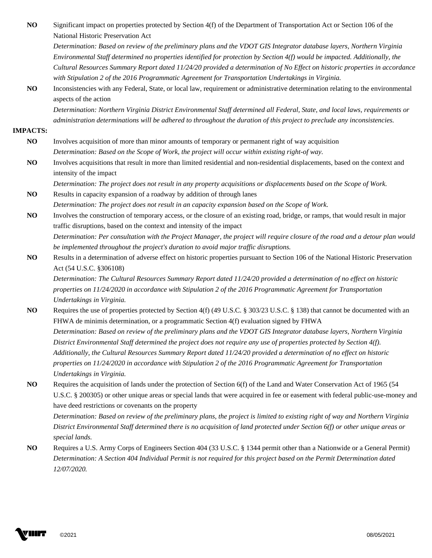**NO** Significant impact on properties protected by Section 4(f) of the Department of Transportation Act or Section 106 of the National Historic Preservation Act

*Determination: Based on review of the preliminary plans and the VDOT GIS Integrator database layers, Northern Virginia Environmental Staff determined no properties identified for protection by Section 4(f) would be impacted. Additionally, the Cultural Resources Summary Report dated 11/24/20 provided a determination of No Effect on historic properties in accordance with Stipulation 2 of the 2016 Programmatic Agreement for Transportation Undertakings in Virginia.* 

**NO** Inconsistencies with any Federal, State, or local law, requirement or administrative determination relating to the environmental aspects of the action

*Determination: Northern Virginia District Environmental Staff determined all Federal, State, and local laws, requirements or administration determinations will be adhered to throughout the duration of this project to preclude any inconsistencies.*

#### **IMPACTS:**

- **NO** Involves acquisition of more than minor amounts of temporary or permanent right of way acquisition *Determination: Based on the Scope of Work, the project will occur within existing right-of way.*
- **NO** Involves acquisitions that result in more than limited residential and non-residential displacements, based on the context and intensity of the impact

*Determination: The project does not result in any property acquisitions or displacements based on the Scope of Work.*  NO Results in capacity expansion of a roadway by addition of through lanes

- *Determination: The project does not result in an capacity expansion based on the Scope of Work.*
- **NO** Involves the construction of temporary access, or the closure of an existing road, bridge, or ramps, that would result in major traffic disruptions, based on the context and intensity of the impact *Determination: Per consultation with the Project Manager, the project will require closure of the road and a detour plan would be implemented throughout the project's duration to avoid major traffic disruptions.*
- **NO** Results in a determination of adverse effect on historic properties pursuant to Section 106 of the National Historic Preservation Act (54 U.S.C. §306108)

*Determination: The Cultural Resources Summary Report dated 11/24/20 provided a determination of no effect on historic properties on 11/24/2020 in accordance with Stipulation 2 of the 2016 Programmatic Agreement for Transportation Undertakings in Virginia.* 

- **NO** Requires the use of properties protected by Section 4(f) (49 U.S.C. § 303/23 U.S.C. § 138) that cannot be documented with an FHWA de minimis determination, or a programmatic Section 4(f) evaluation signed by FHWA *Determination: Based on review of the preliminary plans and the VDOT GIS Integrator database layers, Northern Virginia District Environmental Staff determined the project does not require any use of properties protected by Section 4(f). Additionally, the Cultural Resources Summary Report dated 11/24/20 provided a determination of no effect on historic properties on 11/24/2020 in accordance with Stipulation 2 of the 2016 Programmatic Agreement for Transportation Undertakings in Virginia.*
- **NO** Requires the acquisition of lands under the protection of Section 6(f) of the Land and Water Conservation Act of 1965 (54 U.S.C. § 200305) or other unique areas or special lands that were acquired in fee or easement with federal public-use-money and have deed restrictions or covenants on the property

*Determination: Based on review of the preliminary plans, the project is limited to existing right of way and Northern Virginia District Environmental Staff determined there is no acquisition of land protected under Section 6(f) or other unique areas or special lands.* 

**NO** Requires a U.S. Army Corps of Engineers Section 404 (33 U.S.C. § 1344 permit other than a Nationwide or a General Permit) *Determination: A Section 404 Individual Permit is not required for this project based on the Permit Determination dated 12/07/2020.*